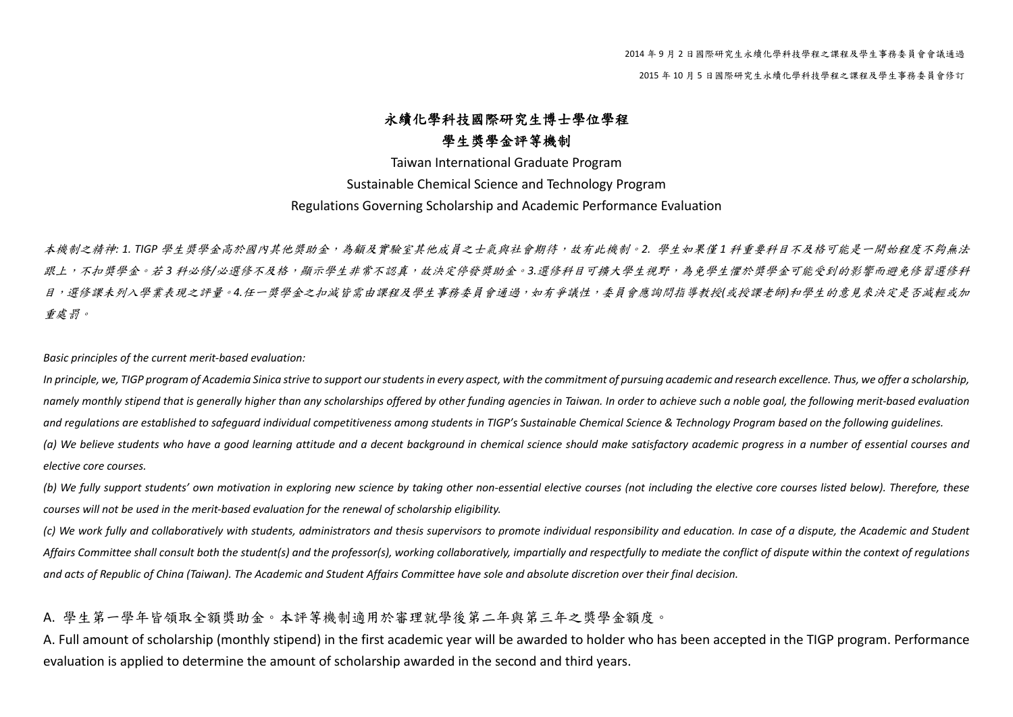2015 年 <sup>10</sup> 月 <sup>5</sup> 日國際研究生永續化學科技學程之課程及學生事務委員會修訂

## 永續化學科技國際研究生博士學位學程 學生獎學金評等機制

Taiwan International Graduate Program Sustainable Chemical Science and Technology Program Regulations Governing Scholarship and Academic Performance Evaluation

本機制之精神*: 1. TIGP* 學生獎學金高於國內其他獎助金,為顧及實驗室其他成員之士氣與社會期待,故有此機制。*2.* 學生如果僅 *<sup>1</sup>* 科重要科目不及格可能是一開始程度不夠無法 跟上,不扣獎學舍。若3科必修/必選修不及格,顯示學生非常不認真,故決定停發獎助金。3.選修科目可擴大學生視野,為免學生懼於獎學金可能受到的影響而避免修習選修科 目,選修課未列入學業表現之評量。*4.*任一獎學金之扣減皆需由課程及學生事務委員會通過,如有爭議性,委員會應詢問指導教授*(*或授課老師*)*和學生的意見來決定是否減輕或加 重處罰。

*Basic principles of the current merit‐based evaluation:*

In principle, we, TIGP program of Academia Sinica strive to support our students in every aspect, with the commitment of pursuing academic and research excellence. Thus, we offer a scholarship, namely monthly stipend that is generally higher than any scholarships offered by other funding agencies in Taiwan. In order to achieve such a noble goal, the following merit-based evaluation and regulations are established to safeguard individual competitiveness among students in TIGP's Sustainable Chemical Science & Technology Program based on the following quidelines. (a) We believe students who have a good learning attitude and a decent background in chemical science should make satisfactory academic progress in a number of essential courses and *elective core courses.*

(b) We fully support students' own motivation in exploring new science by taking other non-essential elective courses (not including the elective core courses listed below). Therefore, these *courses will not be used in the merit‐based evaluation for the renewal of scholarship eligibility.*

(c) We work fully and collaboratively with students, administrators and thesis supervisors to promote individual responsibility and education. In case of a dispute, the Academic and Student Affairs Committee shall consult both the student(s) and the professor(s), working collaboratively, impartially and respectfully to mediate the conflict of dispute within the context of requlations and acts of Republic of China (Taiwan). The Academic and Student Affairs Committee have sole and absolute discretion over their final decision.

## A. 學生第一學年皆領取全額獎助金。本評等機制適用於審理就學後第二年與第三年之獎學金額度。

A. Full amount of scholarship (monthly stipend) in the first academic year will be awarded to holder who has been accepted in the TIGP program. Performance evaluation is applied to determine the amount of scholarship awarded in the second and third years.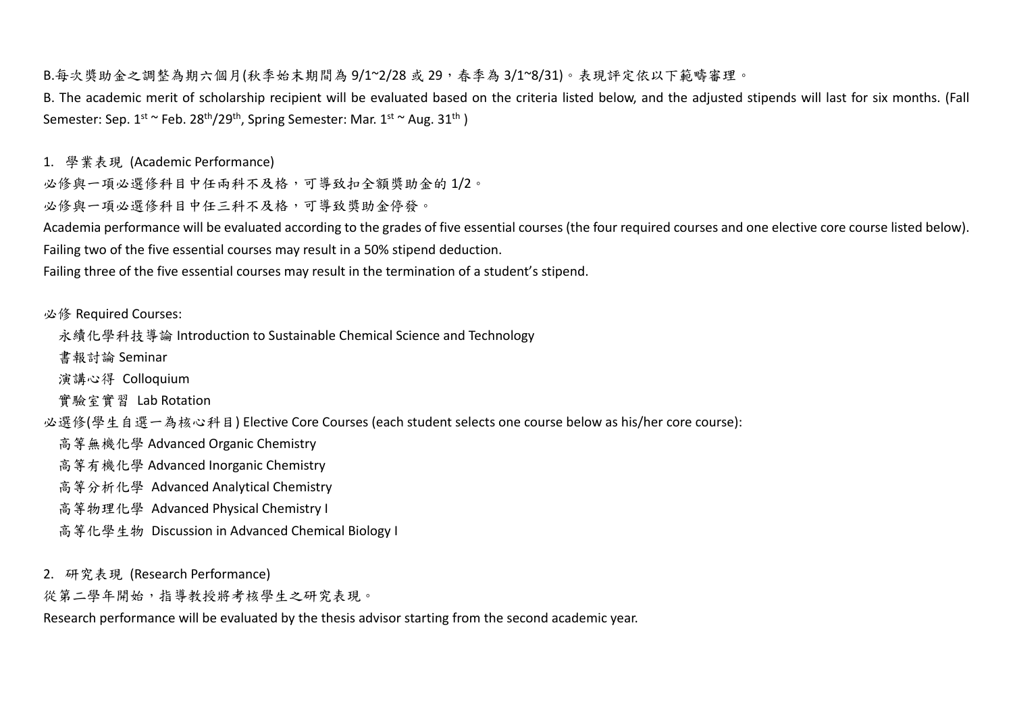B.每次獎助金之調整為期六個月(秋季始末期間為 9/1~2/28 或 29,春季為 3/1~8/31)。表現評定依以下範疇審理。

B. The academic merit of scholarship recipient will be evaluated based on the criteria listed below, and the adjusted stipends will last for six months. (Fall Semester: Sep. 1<sup>st ~</sup> Feb. 28<sup>th</sup>/29<sup>th</sup>, Spring Semester: Mar. 1<sup>st ~</sup> Aug. 31<sup>th</sup> )

1. 學業表現 (Academic Performance)

必修與一項必選修科目中任兩科不及格,可導致扣全額獎助金的1/2。

必修與一項必選修科目中任三科不及格,可導致獎助金停發。

Academia performance will be evaluated according to the grades of five essential courses (the four required courses and one elective core course listed below). Failing two of the five essential courses may result in <sup>a</sup> 50% stipend deduction.

Failing three of the five essential courses may result in the termination of <sup>a</sup> student's stipend.

必修 Required Courses:

永續化學科技導論 Introduction to Sustainable Chemical Science and Technology

書報討論 Seminar

演講心得 Colloquium

實驗室實習 Lab Rotation

必選修(學生自選一為核心科目) Elective Core Courses (each student selects one course below as his/her core course):

高等無機化學 Advanced Organic Chemistry

高等有機化學 Advanced Inorganic Chemistry

高等分析化學 Advanced Analytical Chemistry

高等物理化學 Advanced Physical Chemistry <sup>I</sup>

高等化學生物 Discussion in Advanced Chemical Biology <sup>I</sup>

2. 研究表現 (Research Performance)

從第二學年開始,指導教授將考核學生之研究表現。

Research performance will be evaluated by the thesis advisor starting from the second academic year.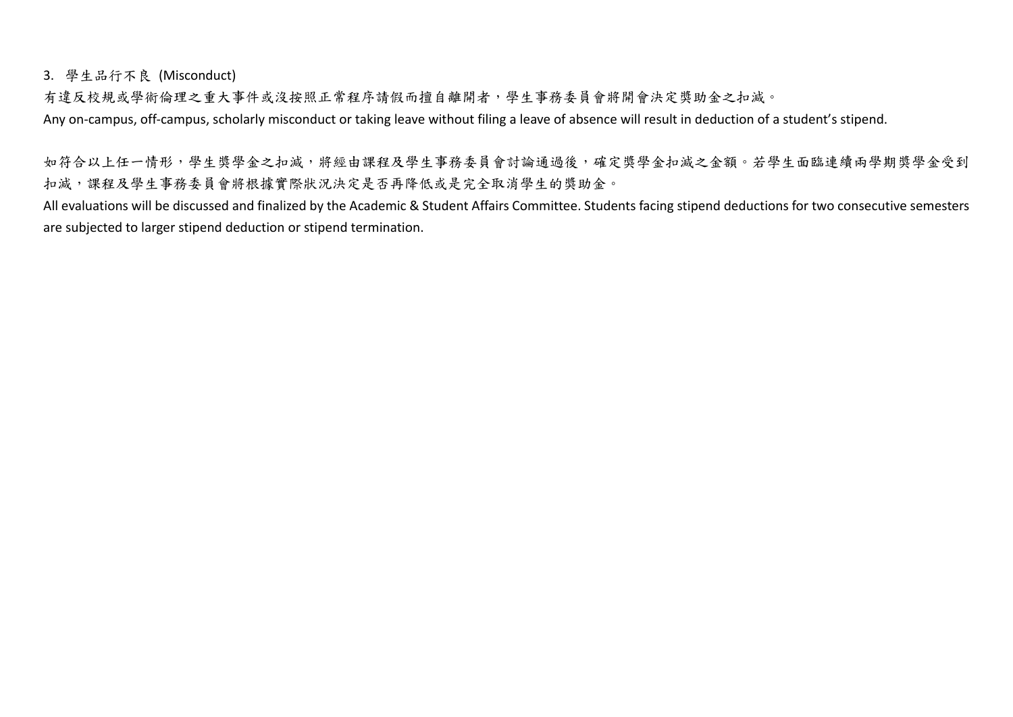3. 學生品行不良 (Misconduct)

有違反校規或學術倫理之重大事件或沒按照正常程序請假而擅自離開者,學生事務委員會將開會決定獎助金之扣減。 Any on-campus, off-campus, scholarly misconduct or taking leave without filing a leave of absence will result in deduction of a student's stipend.

如符合以上任一情形,學生獎學金之扣減,將經由課程及學生事務委員會討論通過後,確定獎學金扣減之金額。若學生面臨連續兩學期獎學金受到 扣減,課程及學生事務委員會將根據實際狀況決定是否再降低或是完全取消學生的獎助金。

All evaluations will be discussed and finalized by the Academic & Student Affairs Committee. Students facing stipend deductions for two consecutive semesters are subjected to larger stipend deduction or stipend termination.